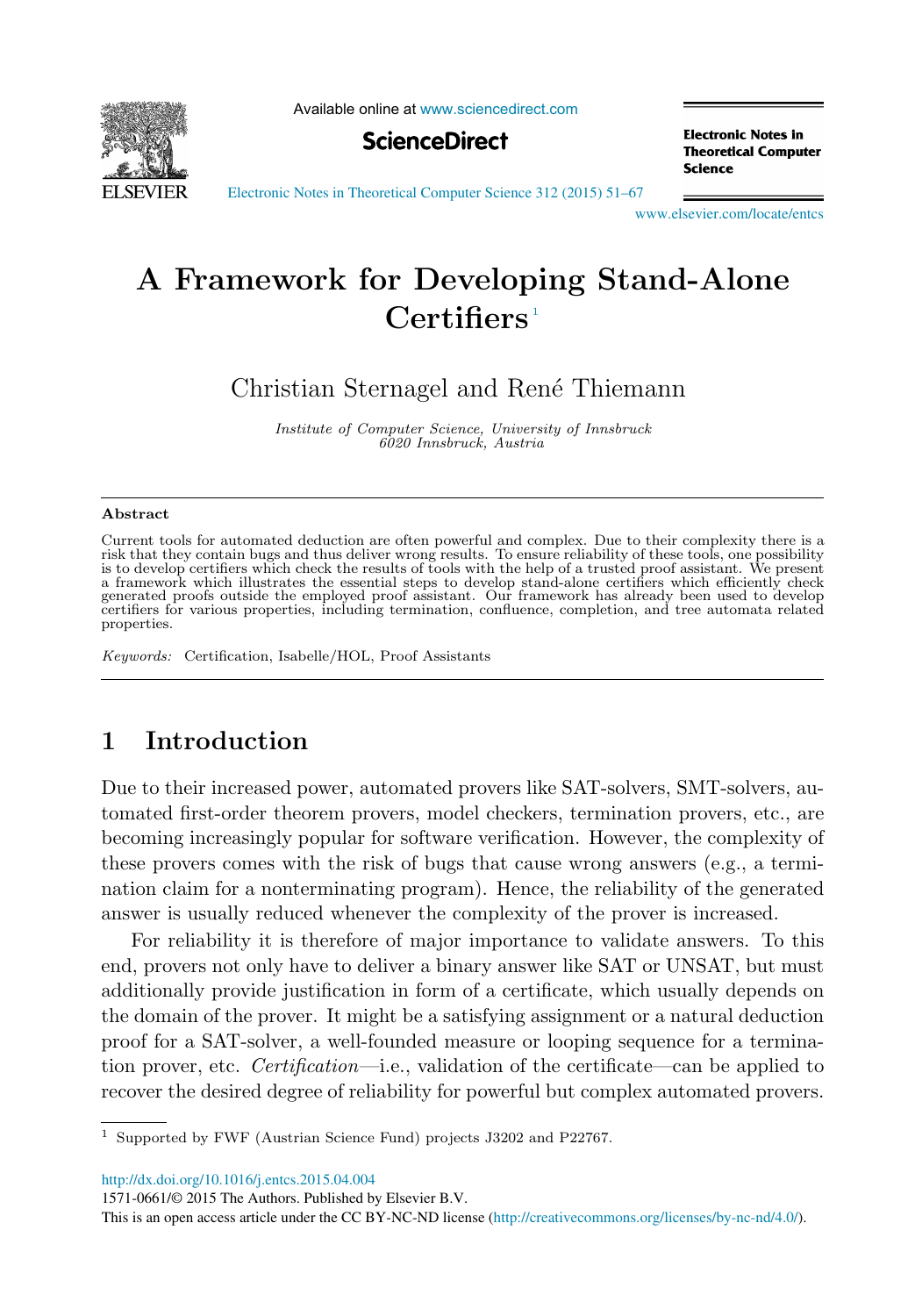

Available online at [www.sciencedirect.com](http://www.sciencedirect.com)



**Electronic Notes in Theoretical Computer Science** 

[Electronic Notes in Theoretical Computer Science 312 \(2015\) 51–67](http://dx.doi.org/10.1016/j.entcs.2015.04.004)

[www.elsevier.com/locate/entcs](http://www.elsevier.com/locate/entcs)

# **A Framework for Developing Stand-Alone Certifiers** <sup>1</sup>

Christian Sternagel and Ren´e Thiemann

Institute of Computer Science, University of Innsbruck 6020 Innsbruck, Austria

#### **Abstract**

Current tools for automated deduction are often powerful and complex. Due to their complexity there is a<br>risk that they contain bugs and thus deliver wrong results. To ensure reliability of these tools, one possibility<br>is a framework which illustrates the essential steps to develop stand-alone certifiers which efficiently check generated proofs outside the employed proof assistant. Our framework has already been used to develop certifiers for various properties, including termination, confluence, completion, and tree automata related properties.

Keywords: Certification, Isabelle/HOL, Proof Assistants

## **1 Introduction**

Due to their increased power, automated provers like SAT-solvers, SMT-solvers, automated first-order theorem provers, model checkers, termination provers, etc., are becoming increasingly popular for software verification. However, the complexity of these provers comes with the risk of bugs that cause wrong answers (e.g., a termination claim for a nonterminating program). Hence, the reliability of the generated answer is usually reduced whenever the complexity of the prover is increased.

For reliability it is therefore of major importance to validate answers. To this end, provers not only have to deliver a binary answer like SAT or UNSAT, but must additionally provide justification in form of a certificate, which usually depends on the domain of the prover. It might be a satisfying assignment or a natural deduction proof for a SAT-solver, a well-founded measure or looping sequence for a termination prover, etc. Certification—i.e., validation of the certificate—can be applied to recover the desired degree of reliability for powerful but complex automated provers.

<http://dx.doi.org/10.1016/j.entcs.2015.04.004>

1571-0661/© 2015 The Authors. Published by Elsevier B.V.

This is an open access article under the CC BY-NC-ND license [\(http://creativecommons.org/licenses/by-nc-nd/4.0/](http://creativecommons.org/licenses/by-nc-nd/4.0/)).

<sup>1</sup> Supported by FWF (Austrian Science Fund) projects J3202 and P22767.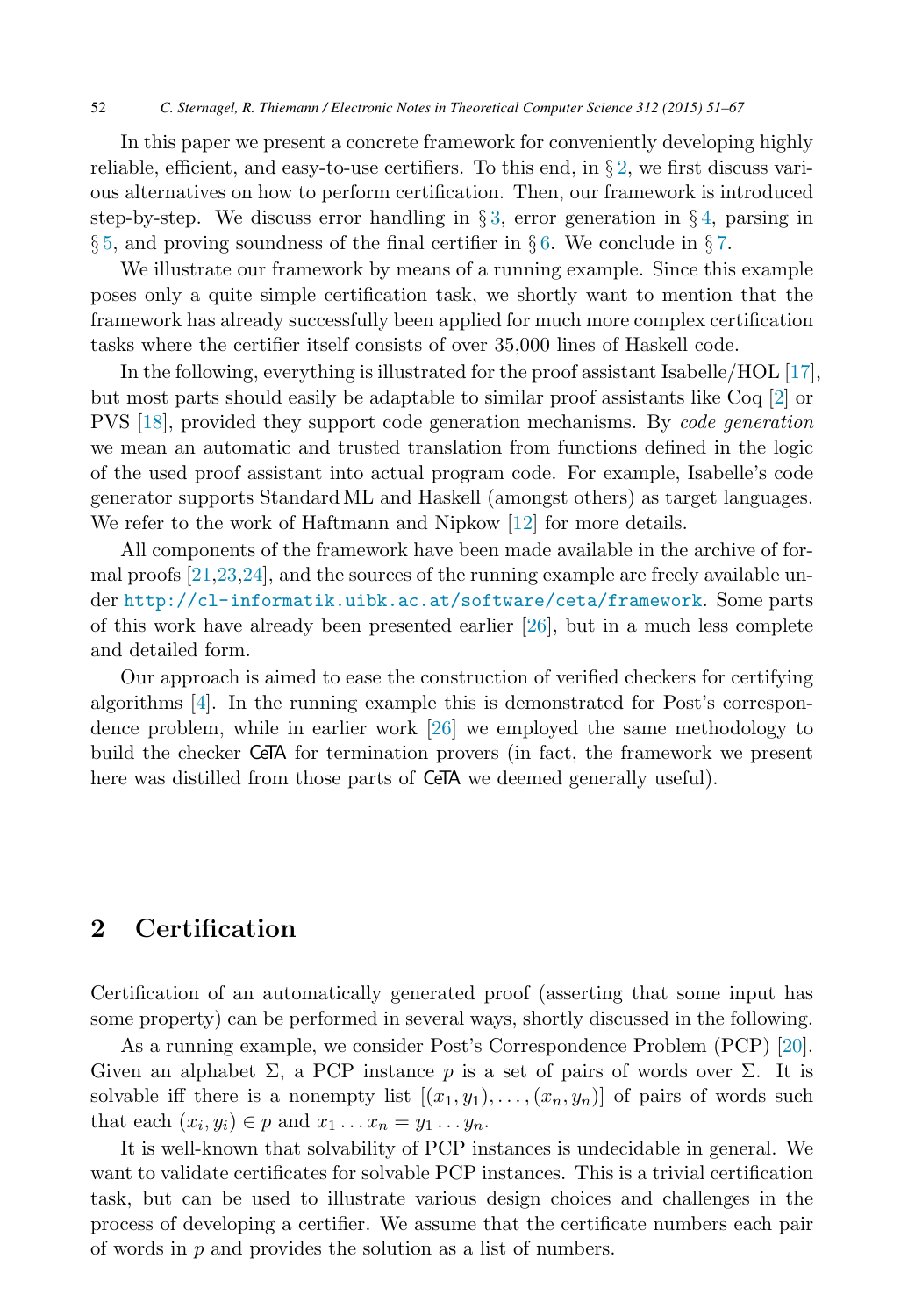In this paper we present a concrete framework for conveniently developing highly reliable, efficient, and easy-to-use certifiers. To this end, in  $\S 2$ , we first discuss various alternatives on how to perform certification. Then, our framework is introduced step-by-step. We discuss error handling in  $\S 3$ , error generation in  $\S 4$ , parsing in  $\S 5$ , and proving soundness of the final certifier in  $\S 6$ . We conclude in  $\S 7$ .

We illustrate our framework by means of a running example. Since this example poses only a quite simple certification task, we shortly want to mention that the framework has already successfully been applied for much more complex certification tasks where the certifier itself consists of over 35,000 lines of Haskell code.

In the following, everything is illustrated for the proof assistant Isabelle/HOL [\[17\]](#page-16-0), but most parts should easily be adaptable to similar proof assistants like Coq [\[2\]](#page-15-0) or PVS [\[18\]](#page-16-0), provided they support code generation mechanisms. By code generation we mean an automatic and trusted translation from functions defined in the logic of the used proof assistant into actual program code. For example, Isabelle's code generator supports Standard ML and Haskell (amongst others) as target languages. We refer to the work of Haftmann and Nipkow [\[12\]](#page-15-0) for more details.

All components of the framework have been made available in the archive of formal proofs [\[21,23,24\]](#page-16-0), and the sources of the running example are freely available under <http://cl-informatik.uibk.ac.at/software/ceta/framework>. Some parts of this work have already been presented earlier [\[26\]](#page-16-0), but in a much less complete and detailed form.

Our approach is aimed to ease the construction of verified checkers for certifying algorithms [\[4\]](#page-15-0). In the running example this is demonstrated for Post's correspondence problem, while in earlier work [\[26\]](#page-16-0) we employed the same methodology to build the checker CeTA for termination provers (in fact, the framework we present here was distilled from those parts of CeTA we deemed generally useful).

### **2 Certification**

Certification of an automatically generated proof (asserting that some input has some property) can be performed in several ways, shortly discussed in the following.

As a running example, we consider Post's Correspondence Problem (PCP) [\[20\]](#page-16-0). Given an alphabet  $\Sigma$ , a PCP instance p is a set of pairs of words over  $\Sigma$ . It is solvable iff there is a nonempty list  $[(x_1, y_1), \ldots, (x_n, y_n)]$  of pairs of words such that each  $(x_i, y_i) \in p$  and  $x_1 \ldots x_n = y_1 \ldots y_n$ .

It is well-known that solvability of PCP instances is undecidable in general. We want to validate certificates for solvable PCP instances. This is a trivial certification task, but can be used to illustrate various design choices and challenges in the process of developing a certifier. We assume that the certificate numbers each pair of words in p and provides the solution as a list of numbers.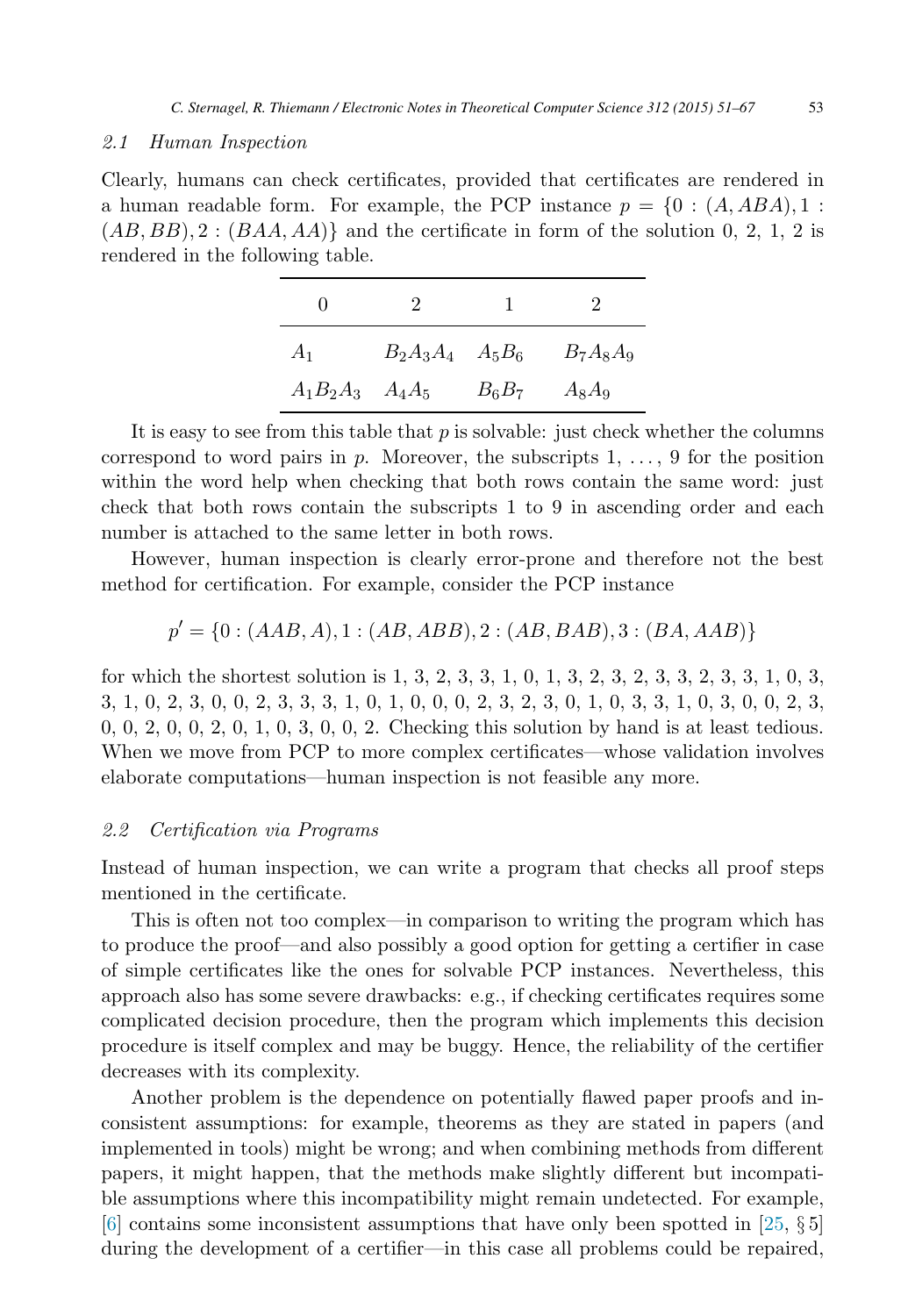#### <span id="page-2-0"></span>2.1 Human Inspection

Clearly, humans can check certificates, provided that certificates are rendered in a human readable form. For example, the PCP instance  $p = \{0: (A, ABA), 1:$  $(AB, BB), 2: (BAA, AA)$  and the certificate in form of the solution 0, 2, 1, 2 is rendered in the following table.

|                      | 2                    | л.       | ')          |
|----------------------|----------------------|----------|-------------|
| $A_1$                | $B_2A_3A_4$ $A_5B_6$ |          | $B_7A_8A_9$ |
| $A_1B_2A_3$ $A_4A_5$ |                      | $B_6B_7$ | $A_8A_9$    |

It is easy to see from this table that  $p$  is solvable: just check whether the columns correspond to word pairs in p. Moreover, the subscripts  $1, \ldots, 9$  for the position within the word help when checking that both rows contain the same word: just check that both rows contain the subscripts 1 to 9 in ascending order and each number is attached to the same letter in both rows.

However, human inspection is clearly error-prone and therefore not the best method for certification. For example, consider the PCP instance

$$
p' = \{0: (AAB, A), 1: (AB, ABB), 2: (AB, BAB), 3: (BA, AAB)\}\
$$

for which the shortest solution is 1, 3, 2, 3, 3, 1, 0, 1, 3, 2, 3, 2, 3, 3, 2, 3, 3, 1, 0, 3, 3, 1, 0, 2, 3, 0, 0, 2, 3, 3, 3, 1, 0, 1, 0, 0, 0, 2, 3, 2, 3, 0, 1, 0, 3, 3, 1, 0, 3, 0, 0, 2, 3, 0, 0, 2, 0, 0, 2, 0, 1, 0, 3, 0, 0, 2. Checking this solution by hand is at least tedious. When we move from PCP to more complex certificates—whose validation involves elaborate computations—human inspection is not feasible any more.

#### 2.2 Certification via Programs

Instead of human inspection, we can write a program that checks all proof steps mentioned in the certificate.

This is often not too complex—in comparison to writing the program which has to produce the proof—and also possibly a good option for getting a certifier in case of simple certificates like the ones for solvable PCP instances. Nevertheless, this approach also has some severe drawbacks: e.g., if checking certificates requires some complicated decision procedure, then the program which implements this decision procedure is itself complex and may be buggy. Hence, the reliability of the certifier decreases with its complexity.

Another problem is the dependence on potentially flawed paper proofs and inconsistent assumptions: for example, theorems as they are stated in papers (and implemented in tools) might be wrong; and when combining methods from different papers, it might happen, that the methods make slightly different but incompatible assumptions where this incompatibility might remain undetected. For example, [\[6\]](#page-15-0) contains some inconsistent assumptions that have only been spotted in [\[25,](#page-16-0) § 5] during the development of a certifier—in this case all problems could be repaired,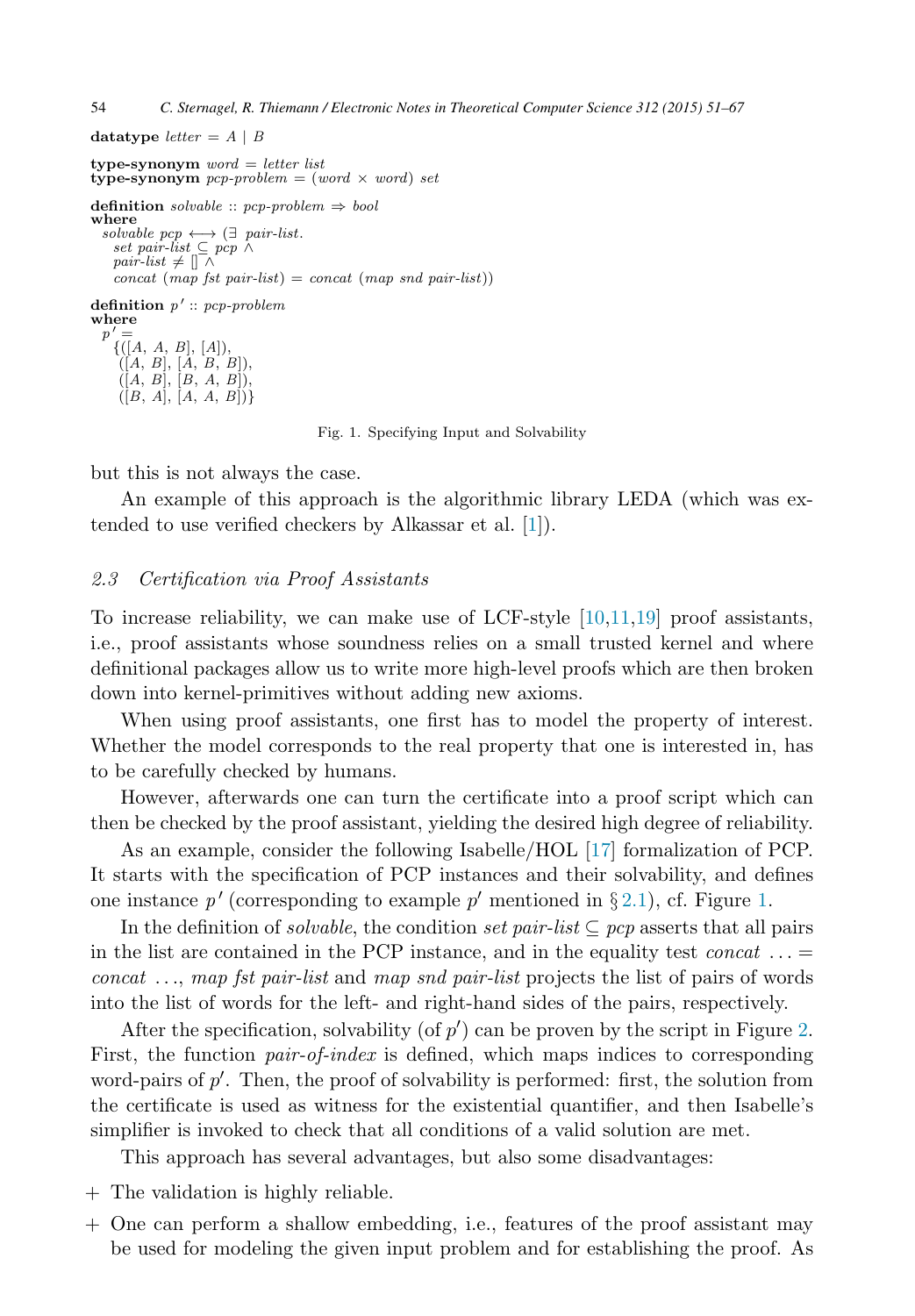```
datatype letter = A \mid Btype-synonym word = letter list
type-synonym pcp-problem = (word \times word) set
definition solvable :: pcp-problem \Rightarrow bool
where<br>solvable pcp \longleftrightarrow (\exists pair-list.
  solvable pcp ←→ (∃ pair-list.<br>set pair-list \subseteq pcp ∧<br>pair-list \neq \square ∧
    concat (map \; fat \; pair-list) = concat (map \; salt \; pair-list)){\bf definition} \,\, p' :: \, pcp\text{-}problemwhere
  p' =<br>{([A, A, B], [A]),<br>([A, B], [A, B, B]),
      ([A, B], [B, A, B]),([B, A], [A, A, B])\}
```
Fig. 1. Specifying Input and Solvability

but this is not always the case.

An example of this approach is the algorithmic library LEDA (which was extended to use verified checkers by Alkassar et al. [\[1\]](#page-15-0)).

#### 2.3 Certification via Proof Assistants

To increase reliability, we can make use of LCF-style  $[10,11,19]$  $[10,11,19]$  proof assistants, i.e., proof assistants whose soundness relies on a small trusted kernel and where definitional packages allow us to write more high-level proofs which are then broken down into kernel-primitives without adding new axioms.

When using proof assistants, one first has to model the property of interest. Whether the model corresponds to the real property that one is interested in, has to be carefully checked by humans.

However, afterwards one can turn the certificate into a proof script which can then be checked by the proof assistant, yielding the desired high degree of reliability.

As an example, consider the following Isabelle/HOL [\[17\]](#page-16-0) formalization of PCP. It starts with the specification of PCP instances and their solvability, and defines one instance  $p'$  (corresponding to example  $p'$  mentioned in  $\S 2.1$ ), cf. Figure 1.

In the definition of *solvable*, the condition set pair-list  $\subseteq$  pcp asserts that all pairs in the list are contained in the PCP instance, and in the equality test  $concat \dots =$ concat ..., map fst pair-list and map snd pair-list projects the list of pairs of words into the list of words for the left- and right-hand sides of the pairs, respectively.

After the specification, solvability (of  $p'$ ) can be proven by the script in Figure [2.](#page-4-0) First, the function *pair-of-index* is defined, which maps indices to corresponding word-pairs of  $p'$ . Then, the proof of solvability is performed: first, the solution from the certificate is used as witness for the existential quantifier, and then Isabelle's simplifier is invoked to check that all conditions of a valid solution are met.

This approach has several advantages, but also some disadvantages:

- + The validation is highly reliable.
- + One can perform a shallow embedding, i.e., features of the proof assistant may be used for modeling the given input problem and for establishing the proof. As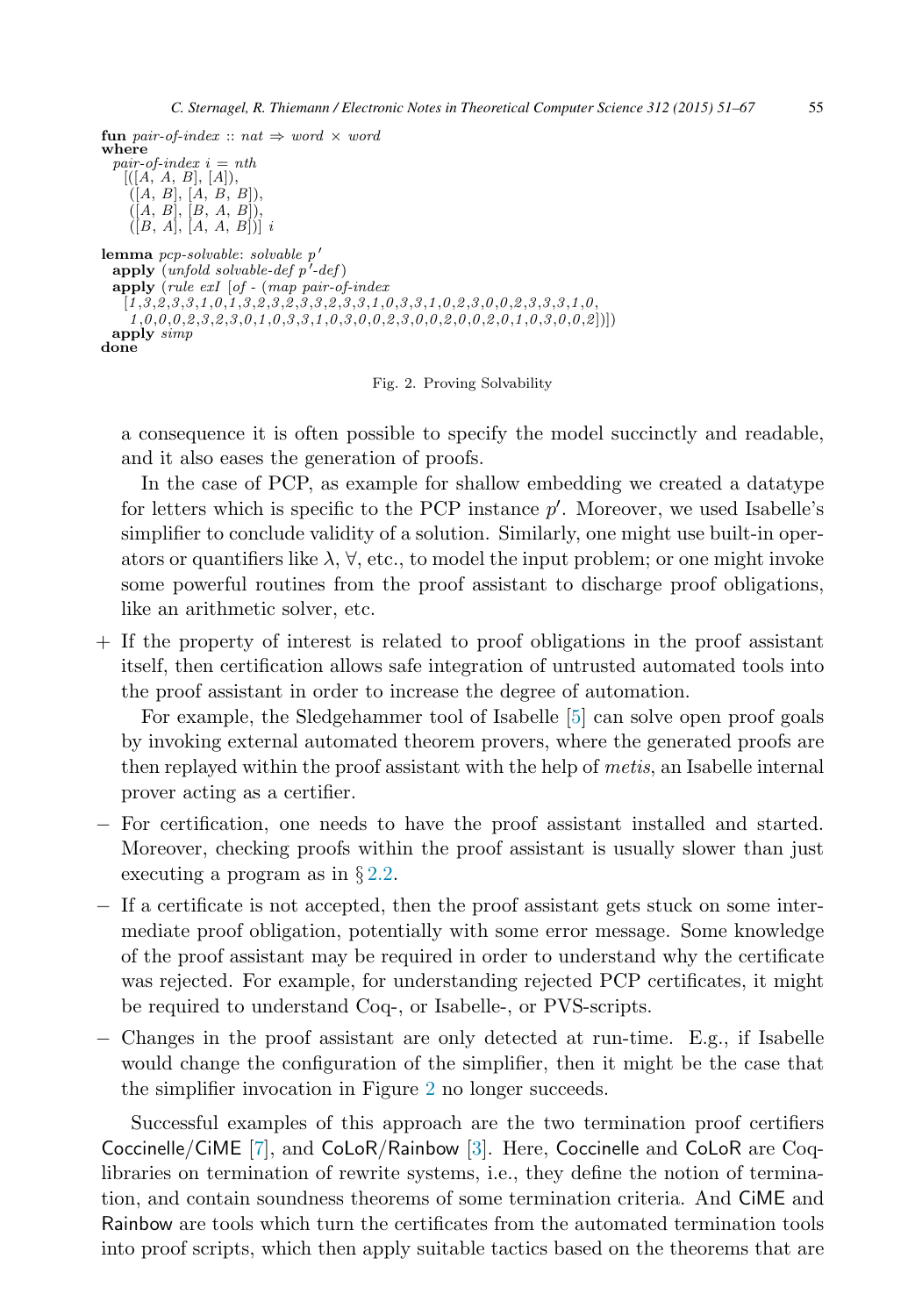```
fun pair-of-index :: nat \Rightarrow word \times word
where
  pair-of-index\ i = nth \ \left[([A, A, B], [A]),\right.([A, B], [A, B, B]),([A, B], [B, A, B]),([B, A], [A, A, B]) i
lemma pcp-solvable: solvable p'
  \mathbf{apply} (unfold solvable-def p'-def)
 apply (rule exI [of - (map pair-of-index
   [1,3,2,3,3,1,0,1,3,2,3,2,3,3,2,3,3,1,0,3,3,1,0,2,3,0,0,2,3,3,3,1,0,1,0,0,0,2,3,2,3,0,1,0,3,3,1,0,3,0,0,2,3,0,0,2,0,0,2,0,1,0,3,0,0,2])apply simp
done
```
Fig. 2. Proving Solvability

a consequence it is often possible to specify the model succinctly and readable, and it also eases the generation of proofs.

In the case of PCP, as example for shallow embedding we created a datatype for letters which is specific to the PCP instance  $p'$ . Moreover, we used Isabelle's simplifier to conclude validity of a solution. Similarly, one might use built-in operators or quantifiers like  $\lambda$ ,  $\forall$ , etc., to model the input problem; or one might invoke some powerful routines from the proof assistant to discharge proof obligations, like an arithmetic solver, etc.

+ If the property of interest is related to proof obligations in the proof assistant itself, then certification allows safe integration of untrusted automated tools into the proof assistant in order to increase the degree of automation.

For example, the Sledgehammer tool of Isabelle [\[5\]](#page-15-0) can solve open proof goals by invoking external automated theorem provers, where the generated proofs are then replayed within the proof assistant with the help of metis, an Isabelle internal prover acting as a certifier.

- − For certification, one needs to have the proof assistant installed and started. Moreover, checking proofs within the proof assistant is usually slower than just executing a program as in  $\S 2.2$ .
- − If a certificate is not accepted, then the proof assistant gets stuck on some intermediate proof obligation, potentially with some error message. Some knowledge of the proof assistant may be required in order to understand why the certificate was rejected. For example, for understanding rejected PCP certificates, it might be required to understand Coq-, or Isabelle-, or PVS-scripts.
- − Changes in the proof assistant are only detected at run-time. E.g., if Isabelle would change the configuration of the simplifier, then it might be the case that the simplifier invocation in Figure 2 no longer succeeds.

Successful examples of this approach are the two termination proof certifiers Coccinelle/CiME [\[7\]](#page-15-0), and CoLoR/Rainbow [\[3\]](#page-15-0). Here, Coccinelle and CoLoR are Coqlibraries on termination of rewrite systems, i.e., they define the notion of termination, and contain soundness theorems of some termination criteria. And CiME and Rainbow are tools which turn the certificates from the automated termination tools into proof scripts, which then apply suitable tactics based on the theorems that are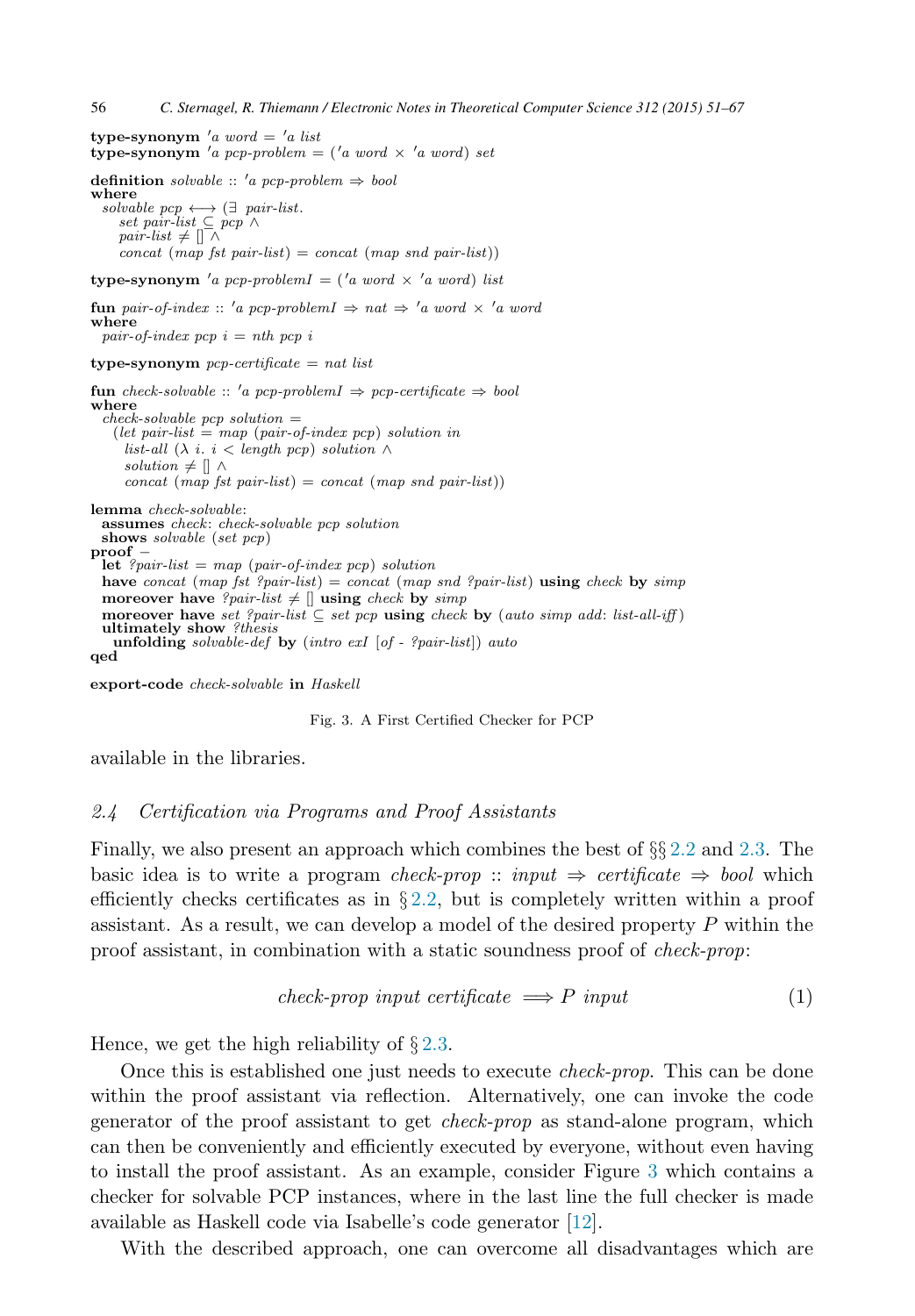<span id="page-5-0"></span> $\tt type-synonym'$ a word =  $'a$  list  $\tt type-synonym'$ a pcp-problem =  $('a word \times 'a word)$  set  $\text{definition} \; \textit{solvable} :: \; 'a \; \textit{pcp-problem} \Rightarrow \; \textit{bool}$ **where**<br>solvable pcp  $\longleftrightarrow$  ( $\exists$  pair-list. solvable pcp ←  $\ominus$  pair-list.<br>set pair-list  $\subseteq$  pcp ∧<br>pair-list  $\neq \square$  ∧ concat (map fst pair-list) = concat (map snd pair-list)) **type-synonym** 'a pcp-problem $I = (I'$ a word  $\times I'$ a word) list  $\lim_{n \to \infty}$  pair-of-index :: 'a pcp-problemI  $\Rightarrow$  nat  $\Rightarrow$  'a word  $\times$  'a word **where** pair-of-index pcp  $i = nth$  pcp i **type-synonym** pcp-certificate  $=$  nat list  $\lim_{n \to \infty}$  check-solvable :: 'a pcp-problemI  $\Rightarrow$  pcp-certificate  $\Rightarrow$  bool where<br>check-solvable pcp solution  $=$ (let pair-list  $=$  map (pair-of-index pcp) solution in list-all  $(\lambda \, i. \, i < length\, pcp)$  solution  $\wedge$ solution  $\neq$   $\parallel \wedge$ concat (map fst pair-list) = concat (map snd pair-list)) **lemma** check-solvable:<br>**assumes** check: check-solvable pcp solution<br>**shows** solvable (set pcp) **shows** solven **let**  $\ell$  *pair-list* = map (pair-of-index pcp) solution **have** concat (map fst ?pair-list) = concat (map snd ?pair-list) **using** check **by** simp **moreover have** ?*pair-list*  $\neq$  | **using** check **by** simp **moreover have** set ?pair-list  $\subseteq$  set pcp **using** check **by** (auto simp add: list-all-iff) **ultimately show** ?thesis **unfolding** solvable-def **by** (intro exI [of - ?pair-list]) auto **qed export-code** check-solvable **in** Haskell

Fig. 3. A First Certified Checker for PCP

available in the libraries.

### 2.4 Certification via Programs and Proof Assistants

Finally, we also present an approach which combines the best of §§ [2.2](#page-2-0) and [2.3.](#page-3-0) The basic idea is to write a program *check-prop* :: *input*  $\Rightarrow$  *certificate*  $\Rightarrow$  *bool* which efficiently checks certificates as in  $\S 2.2$ , but is completely written within a proof assistant. As a result, we can develop a model of the desired property P within the proof assistant, in combination with a static soundness proof of check-prop:

$$
check\text{-}prop\text{ input certificate} \implies P\text{ input} \tag{1}
$$

Hence, we get the high reliability of  $\S 2.3$ .

Once this is established one just needs to execute check-prop. This can be done within the proof assistant via reflection. Alternatively, one can invoke the code generator of the proof assistant to get check-prop as stand-alone program, which can then be conveniently and efficiently executed by everyone, without even having to install the proof assistant. As an example, consider Figure 3 which contains a checker for solvable PCP instances, where in the last line the full checker is made available as Haskell code via Isabelle's code generator [\[12\]](#page-15-0).

With the described approach, one can overcome all disadvantages which are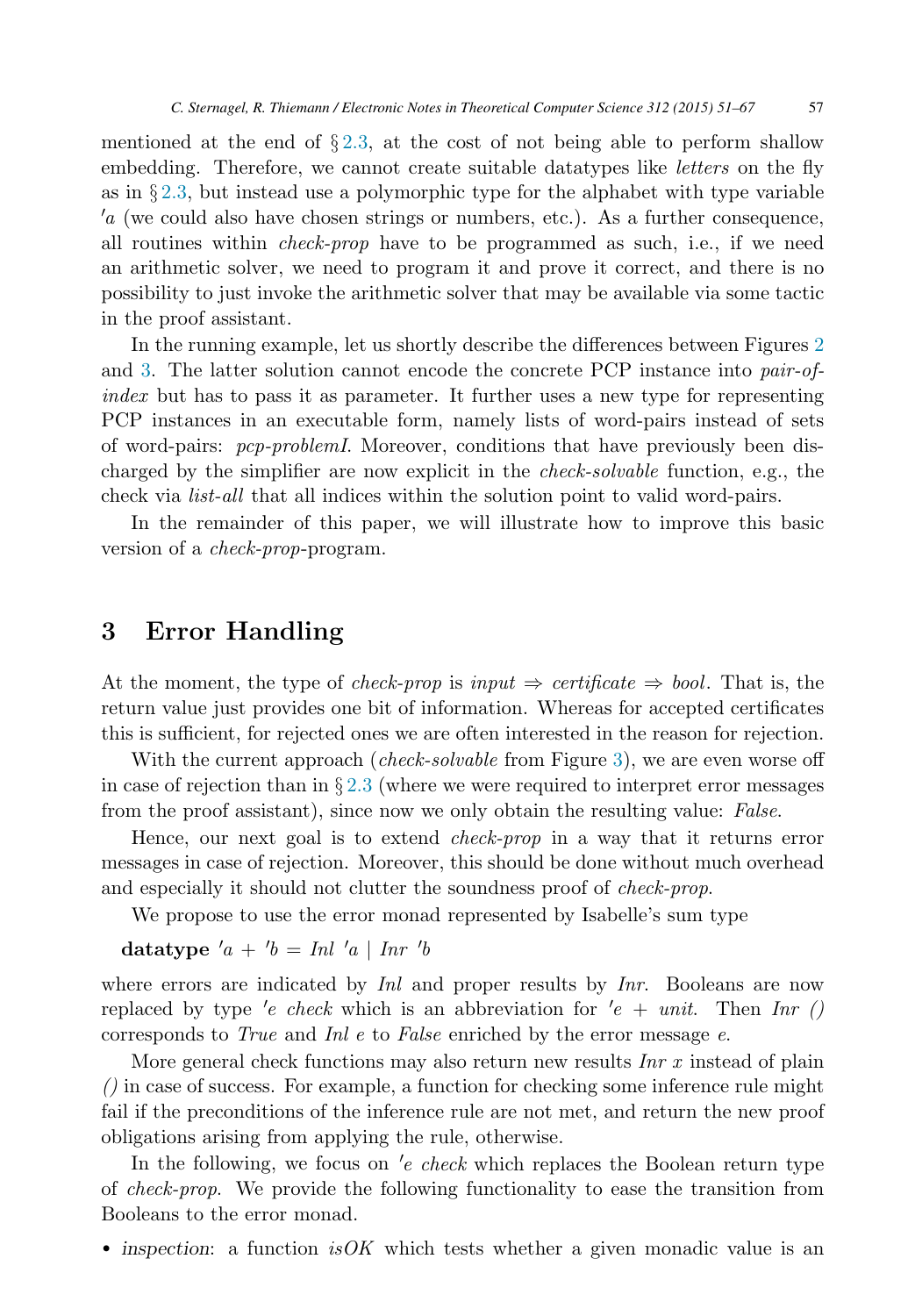<span id="page-6-0"></span>mentioned at the end of  $\S 2.3$ , at the cost of not being able to perform shallow embedding. Therefore, we cannot create suitable datatypes like *letters* on the fly as in  $\S 2.3$ , but instead use a polymorphic type for the alphabet with type variable 'a (we could also have chosen strings or numbers, etc.). As a further consequence, all routines within *check-prop* have to be programmed as such, i.e., if we need an arithmetic solver, we need to program it and prove it correct, and there is no possibility to just invoke the arithmetic solver that may be available via some tactic in the proof assistant.

In the running example, let us shortly describe the differences between Figures [2](#page-4-0) and [3.](#page-5-0) The latter solution cannot encode the concrete PCP instance into pair-ofindex but has to pass it as parameter. It further uses a new type for representing PCP instances in an executable form, namely lists of word-pairs instead of sets of word-pairs: pcp-problemI. Moreover, conditions that have previously been discharged by the simplifier are now explicit in the check-solvable function, e.g., the check via list-all that all indices within the solution point to valid word-pairs.

In the remainder of this paper, we will illustrate how to improve this basic version of a check-prop-program.

### **3 Error Handling**

At the moment, the type of *check-prop* is *input*  $\Rightarrow$  *certificate*  $\Rightarrow$  *bool.* That is, the return value just provides one bit of information. Whereas for accepted certificates this is sufficient, for rejected ones we are often interested in the reason for rejection.

With the current approach (*check-solvable* from Figure [3\)](#page-5-0), we are even worse off in case of rejection than in  $\S 2.3$  $\S 2.3$  (where we were required to interpret error messages from the proof assistant), since now we only obtain the resulting value: False.

Hence, our next goal is to extend *check-prop* in a way that it returns error messages in case of rejection. Moreover, this should be done without much overhead and especially it should not clutter the soundness proof of check-prop.

We propose to use the error monad represented by Isabelle's sum type

datatype  $'a + b = Inl$   $'a | Inr$  *b* 

where errors are indicated by  $Inl$  and proper results by  $Inr$ . Booleans are now replaced by type 'e check which is an abbreviation for 'e + unit. Then Inr () corresponds to True and Inl e to False enriched by the error message e.

More general check functions may also return new results  $Inr x$  instead of plain () in case of success. For example, a function for checking some inference rule might fail if the preconditions of the inference rule are not met, and return the new proof obligations arising from applying the rule, otherwise.

In the following, we focus on 'e check which replaces the Boolean return type of check-prop. We provide the following functionality to ease the transition from Booleans to the error monad.

• inspection: a function  $i s O K$  which tests whether a given monadic value is an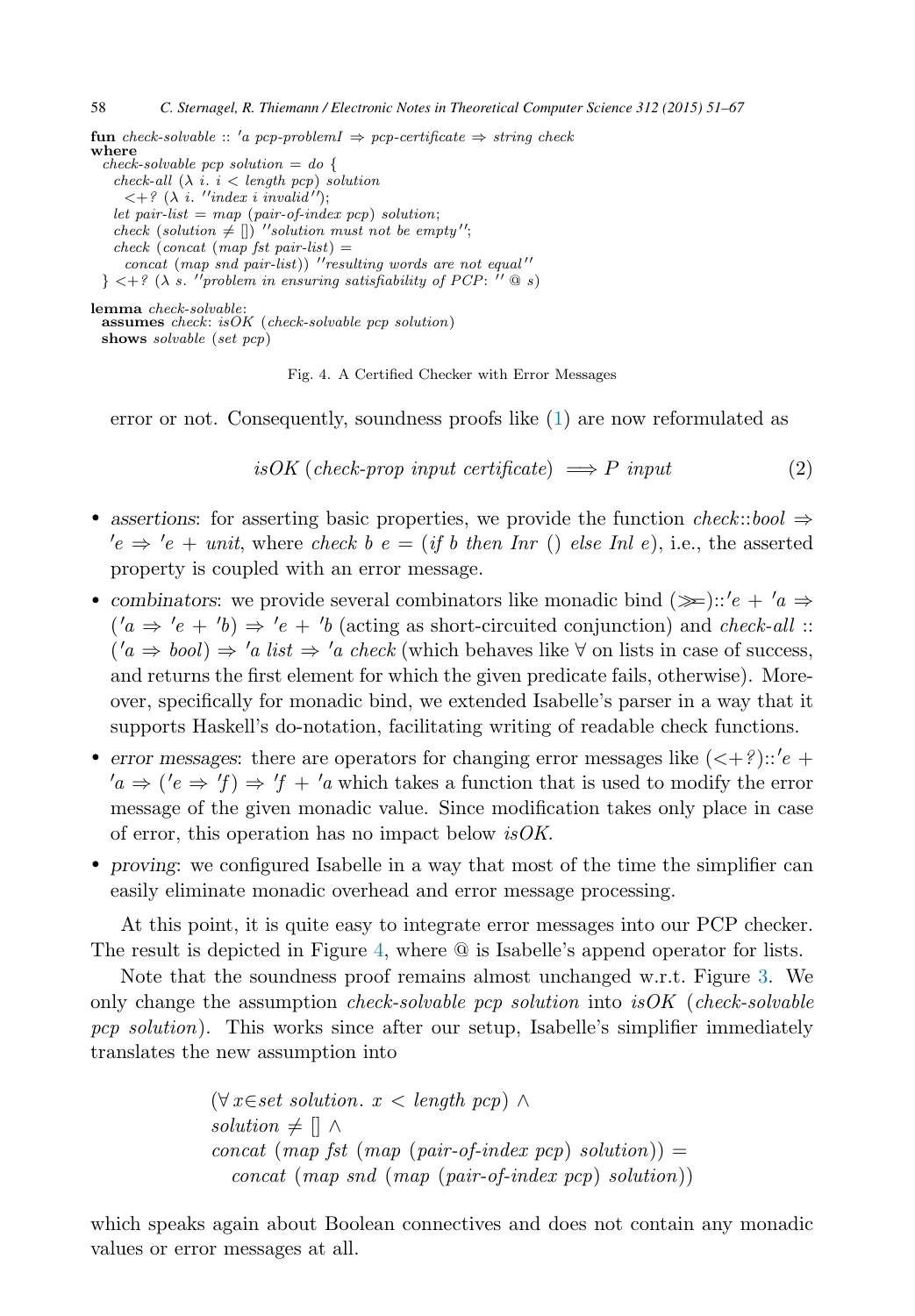<span id="page-7-0"></span> $\lim_{n \to \infty}$  check-solvable :: 'a pcp-problemI  $\Rightarrow$  pcp-certificate  $\Rightarrow$  string check **where** check-solvable pcp solution  $= do \{$ check-all  $(\lambda i. i < length\; pop)$  solution  $\lt$  +? ( $\lambda$  *i. "index i invalid"*); let pair-list = map (pair-of-index pcp) solution; check (solution  $\neq$  []) "solution must not be empty";  $check (concat (map fst pair-list) =$  $concat (map \; sand \; pair-list))$  "resulting words are not equal"  $\}$  < +? ( $\lambda$  s. "problem in ensuring satisfiability of PCP: " $\circledcirc s$ ) **lemma** check-solvable: **assumes** check: isOK (check-solvable pcp solution)

**shows** solvable (set pcp)

Fig. 4. A Certified Checker with Error Messages

error or not. Consequently, soundness proofs like [\(1\)](#page-5-0) are now reformulated as

isOK (check-prop input certificate) 
$$
\implies
$$
 P input (2)

- assertions: for asserting basic properties, we provide the function *check*::*bool* ⇒  $'e$  ⇒  $'e$  + unit, where *check*  $b e = (if b then Inc () else Inl e)$ , i.e., the asserted property is coupled with an error message.
- combinators: we provide several combinators like monadic bind  $(\gg)$ ::  $'e + 'a \Rightarrow$ <br> $(e \rightarrow 'e + 'b) \rightarrow 'e + 'b$  (acting as short circuited conjunction) and check all  $({a \Rightarrow 'e + 'b) \Rightarrow 'e + 'b}$  (acting as short-circuited conjunction) and *check-all* ::  $('a \Rightarrow bool) \Rightarrow 'a \text{ list } \Rightarrow 'a \text{ check (which behaves like } \forall \text{ on lists in case of success,})$ and returns the first element for which the given predicate fails, otherwise). Moreover, specifically for monadic bind, we extended Isabelle's parser in a way that it supports Haskell's do-notation, facilitating writing of readable check functions.
- error messages: there are operators for changing error messages like  $(<+?): 'e +$  $a \Rightarrow (e \Rightarrow f) \Rightarrow f + 'a$  which takes a function that is used to modify the error message of the given monadic value. Since modification takes only place in case of error, this operation has no impact below is  $OK$ .
- proving: we configured Isabelle in a way that most of the time the simplifier can easily eliminate monadic overhead and error message processing.

At this point, it is quite easy to integrate error messages into our PCP checker. The result is depicted in Figure 4, where @ is Isabelle's append operator for lists.

Note that the soundness proof remains almost unchanged w.r.t. Figure [3.](#page-5-0) We only change the assumption *check-solvable pcp solution* into  $i s O K$  (*check-solvable* pcp solution). This works since after our setup, Isabelle's simplifier immediately translates the new assumption into

```
(\forall x \in set \ solution. x < length \ pcp) \landsolution \neq [] \wedgeconcat (map fst (map (pair-of-index pcp) solution)) =concat (map snd (map (pair-of-index pcp) solution))
```
which speaks again about Boolean connectives and does not contain any monadic values or error messages at all.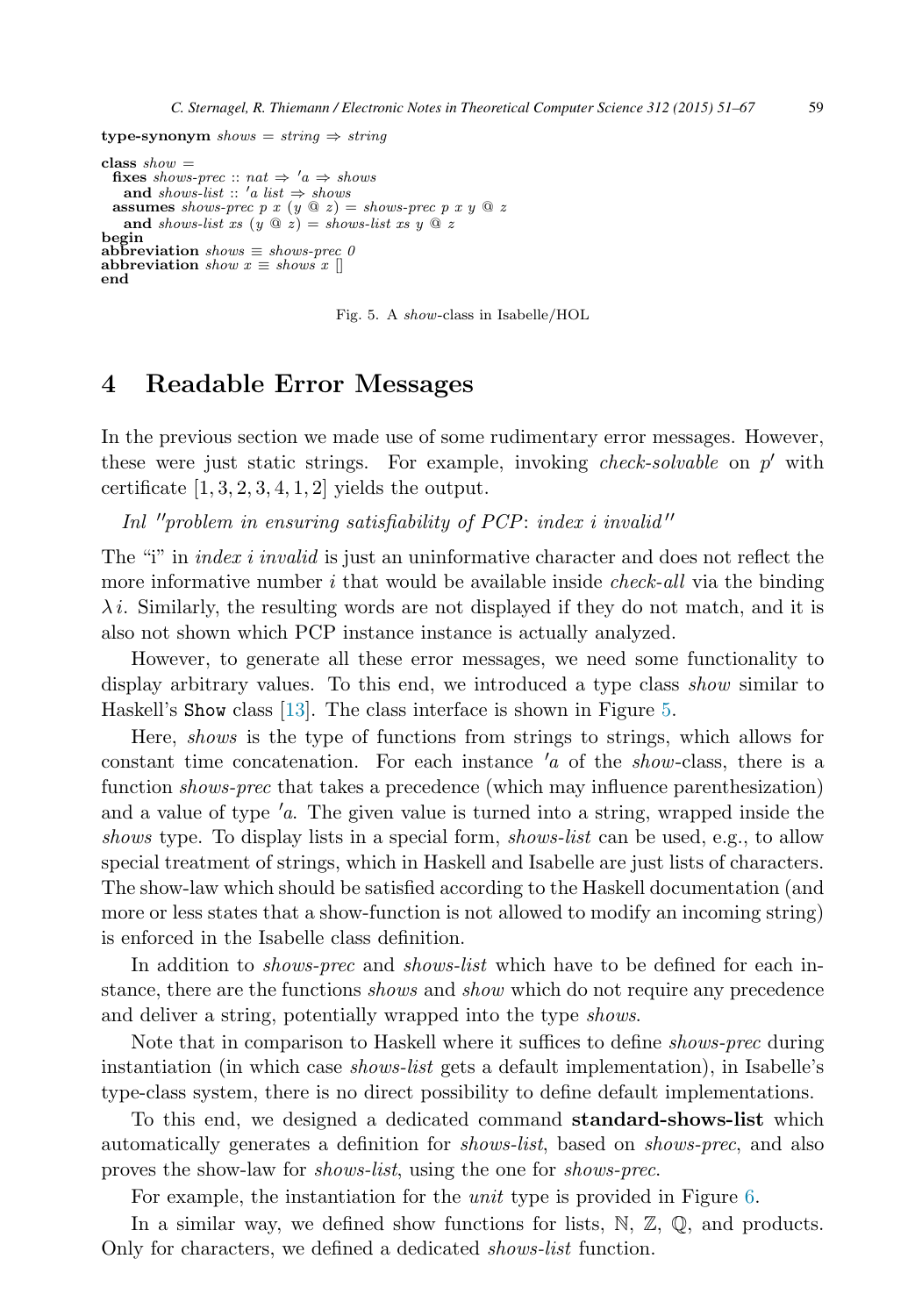```
type-synonym shows = string \Rightarrow string
class show = fixes shows-prec :: nat \Rightarrow 'a \Rightarrow shows
  and shows-list :: 'a list \Rightarrow shows<br>assumes shows-prec p x (y @ z) = shows-prec p x y @ z
and shows-list xs (y \circledcirc z) = shows-list xs y \circledcirc z<br>begin
abbreviation shows \equiv shows-prec 0
abbreviation show x \equiv shows x \parallelend
```
Fig. 5. A show-class in Isabelle/HOL

### **4 Readable Error Messages**

In the previous section we made use of some rudimentary error messages. However, these were just static strings. For example, invoking *check-solvable* on  $p'$  with certificate  $[1, 3, 2, 3, 4, 1, 2]$  yields the output.

 $Inl$  "problem in ensuring satisfiability of PCP: index i invalid"

The "i" in *index i invalid* is just an uninformative character and does not reflect the more informative number  $i$  that would be available inside *check-all* via the binding  $\lambda i$ . Similarly, the resulting words are not displayed if they do not match, and it is also not shown which PCP instance instance is actually analyzed.

However, to generate all these error messages, we need some functionality to display arbitrary values. To this end, we introduced a type class *show* similar to Haskell's Show class [\[13\]](#page-15-0). The class interface is shown in Figure 5.

Here, shows is the type of functions from strings to strings, which allows for constant time concatenation. For each instance  $'a$  of the show-class, there is a function *shows-prec* that takes a precedence (which may influence parenthesization) and a value of type  $a$ . The given value is turned into a string, wrapped inside the shows type. To display lists in a special form, shows-list can be used, e.g., to allow special treatment of strings, which in Haskell and Isabelle are just lists of characters. The show-law which should be satisfied according to the Haskell documentation (and more or less states that a show-function is not allowed to modify an incoming string) is enforced in the Isabelle class definition.

In addition to *shows-prec* and *shows-list* which have to be defined for each instance, there are the functions *shows* and *show* which do not require any precedence and deliver a string, potentially wrapped into the type *shows*.

Note that in comparison to Haskell where it suffices to define *shows-prec* during instantiation (in which case shows-list gets a default implementation), in Isabelle's type-class system, there is no direct possibility to define default implementations.

To this end, we designed a dedicated command **standard-shows-list** which automatically generates a definition for shows-list, based on shows-prec, and also proves the show-law for shows-list, using the one for shows-prec.

For example, the instantiation for the unit type is provided in Figure [6.](#page-9-0)

In a similar way, we defined show functions for lists,  $\mathbb{N}, \mathbb{Z}, \mathbb{Q}$ , and products. Only for characters, we defined a dedicated shows-list function.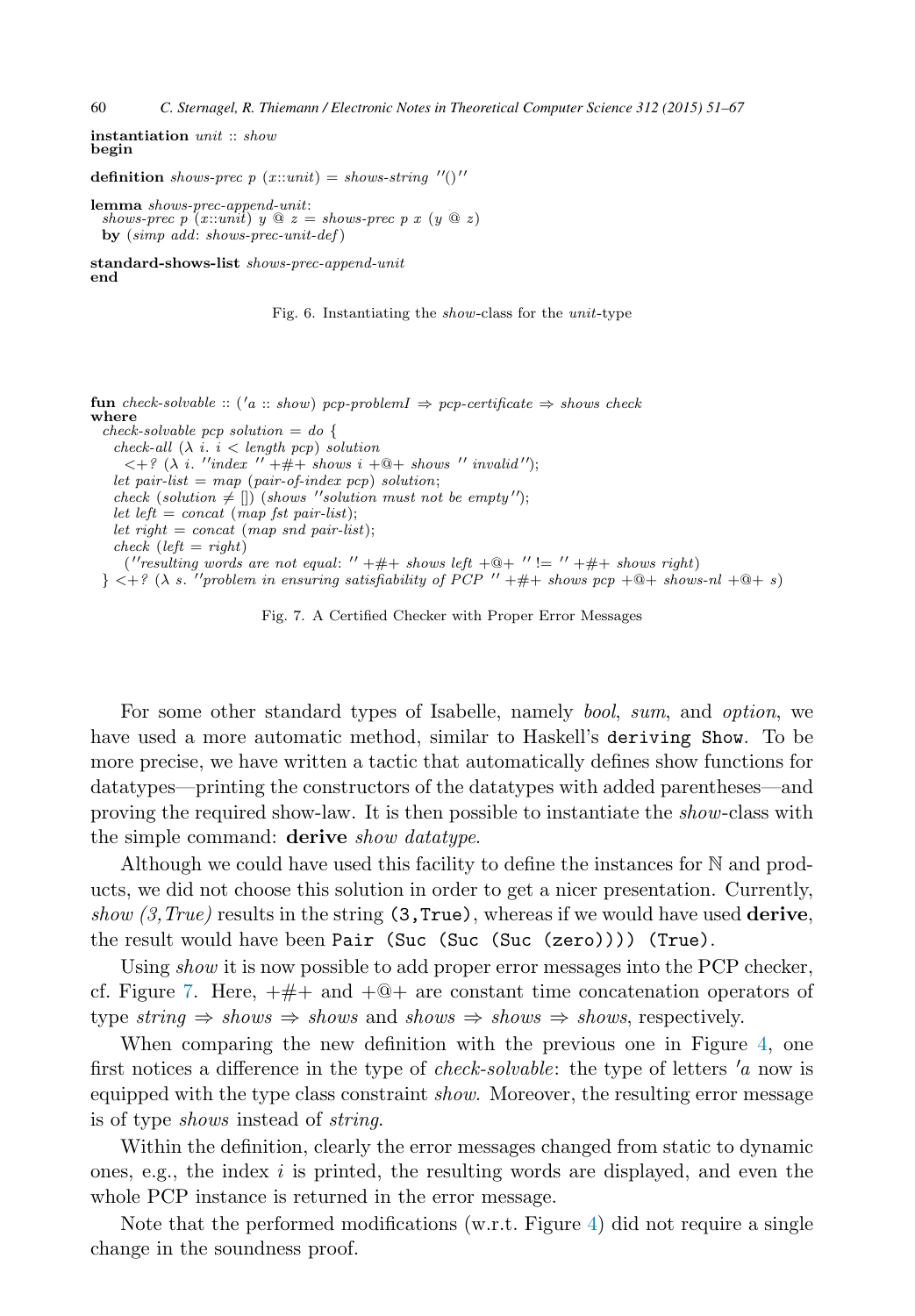<span id="page-9-0"></span>**instantiation** unit :: show **begin**

**definition** shows-prec  $p(x::unit) = shows\text{-}string'$ 

**lemma** shows-prec-append-unit:<br>shows-prec p (x::unit)  $y \& z =$  shows-prec p x ( $y \& z$ ) **by** (simp add: shows-prec-unit-def )

**standard-shows-list** shows-prec-append-unit **end**



 $\lim_{n \to \infty}$  check-solvable :: ('a :: show) pcp-problemI  $\Rightarrow$  pcp-certificate  $\Rightarrow$  shows check **where** check-solvable pcp solution  $= do \{$ 

check-all  $(\lambda i. i < length\; pop)$  solution <+? (λ i. --index -- +#+ shows i +@+ shows -- invalid --);  $let\ pair-list = map\ (pair-of-index\ pep)\ solution;$ check (solution  $\neq$  []) (shows ''solution must not be empty''); let left = concat (map fst pair-list); let right  $= concat$  (map snd pair-list);  $check$  (left = right) ("resulting words are not equal:  $"++$  shows left  $+@+"!="++$  shows right)

 $\}$   $\lt$  +? ( $\lambda$  s. "problem in ensuring satisfiability of PCP " +#+ shows pcp +@+ shows-nl +@+ s)

Fig. 7. A Certified Checker with Proper Error Messages

For some other standard types of Isabelle, namely bool, sum, and option, we have used a more automatic method, similar to Haskell's deriving Show. To be more precise, we have written a tactic that automatically defines show functions for datatypes—printing the constructors of the datatypes with added parentheses—and proving the required show-law. It is then possible to instantiate the show-class with the simple command: **derive** show datatype.

Although we could have used this facility to define the instances for N and products, we did not choose this solution in order to get a nicer presentation. Currently, show (3,True) results in the string (3,True), whereas if we would have used **derive**, the result would have been Pair (Suc (Suc (Suc (zero)))) (True).

Using *show* it is now possible to add proper error messages into the PCP checker, cf. Figure 7. Here,  $+\#+$  and  $+\mathbb{Q}+$  are constant time concatenation operators of type string  $\Rightarrow$  shows  $\Rightarrow$  shows and shows  $\Rightarrow$  shows  $\Rightarrow$  shows, respectively.

When comparing the new definition with the previous one in Figure [4,](#page-7-0) one first notices a difference in the type of *check-solvable*: the type of letters  $'a$  now is equipped with the type class constraint show. Moreover, the resulting error message is of type shows instead of string.

Within the definition, clearly the error messages changed from static to dynamic ones, e.g., the index  $i$  is printed, the resulting words are displayed, and even the whole PCP instance is returned in the error message.

Note that the performed modifications (w.r.t. Figure [4\)](#page-7-0) did not require a single change in the soundness proof.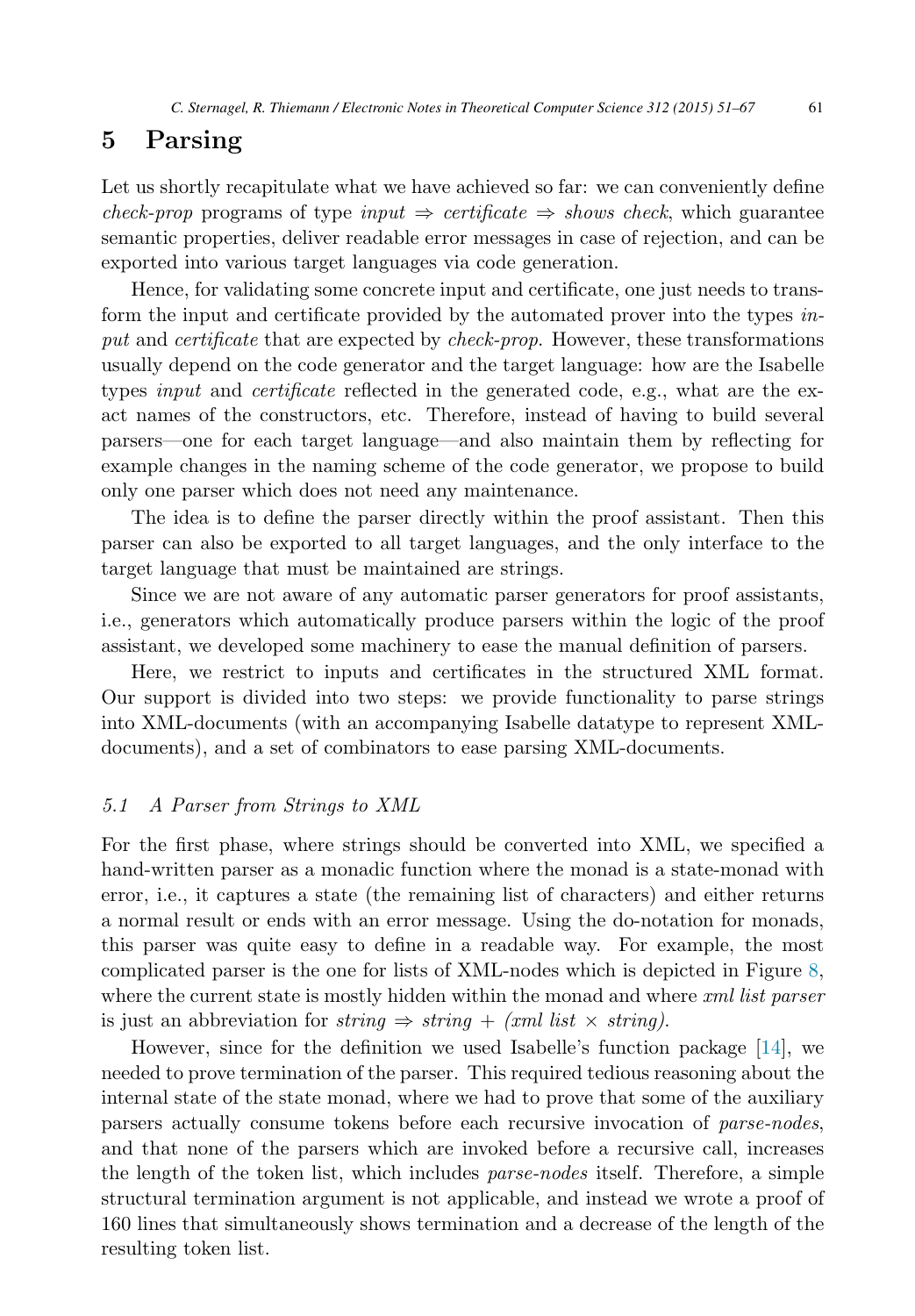### <span id="page-10-0"></span>**5 Parsing**

Let us shortly recapitulate what we have achieved so far: we can conveniently define check-prop programs of type input  $\Rightarrow$  certificate  $\Rightarrow$  shows check, which guarantee semantic properties, deliver readable error messages in case of rejection, and can be exported into various target languages via code generation.

Hence, for validating some concrete input and certificate, one just needs to transform the input and certificate provided by the automated prover into the types input and certificate that are expected by check-prop. However, these transformations usually depend on the code generator and the target language: how are the Isabelle types *input* and *certificate* reflected in the generated code, e.g., what are the exact names of the constructors, etc. Therefore, instead of having to build several parsers—one for each target language—and also maintain them by reflecting for example changes in the naming scheme of the code generator, we propose to build only one parser which does not need any maintenance.

The idea is to define the parser directly within the proof assistant. Then this parser can also be exported to all target languages, and the only interface to the target language that must be maintained are strings.

Since we are not aware of any automatic parser generators for proof assistants, i.e., generators which automatically produce parsers within the logic of the proof assistant, we developed some machinery to ease the manual definition of parsers.

Here, we restrict to inputs and certificates in the structured XML format. Our support is divided into two steps: we provide functionality to parse strings into XML-documents (with an accompanying Isabelle datatype to represent XMLdocuments), and a set of combinators to ease parsing XML-documents.

#### 5.1 A Parser from Strings to XML

For the first phase, where strings should be converted into XML, we specified a hand-written parser as a monadic function where the monad is a state-monad with error, i.e., it captures a state (the remaining list of characters) and either returns a normal result or ends with an error message. Using the do-notation for monads, this parser was quite easy to define in a readable way. For example, the most complicated parser is the one for lists of XML-nodes which is depicted in Figure [8,](#page-11-0) where the current state is mostly hidden within the monad and where xml list parser is just an abbreviation for *string*  $\Rightarrow$  *string* + (xml list  $\times$  *string*).

However, since for the definition we used Isabelle's function package [\[14\]](#page-16-0), we needed to prove termination of the parser. This required tedious reasoning about the internal state of the state monad, where we had to prove that some of the auxiliary parsers actually consume tokens before each recursive invocation of parse-nodes, and that none of the parsers which are invoked before a recursive call, increases the length of the token list, which includes parse-nodes itself. Therefore, a simple structural termination argument is not applicable, and instead we wrote a proof of 160 lines that simultaneously shows termination and a decrease of the length of the resulting token list.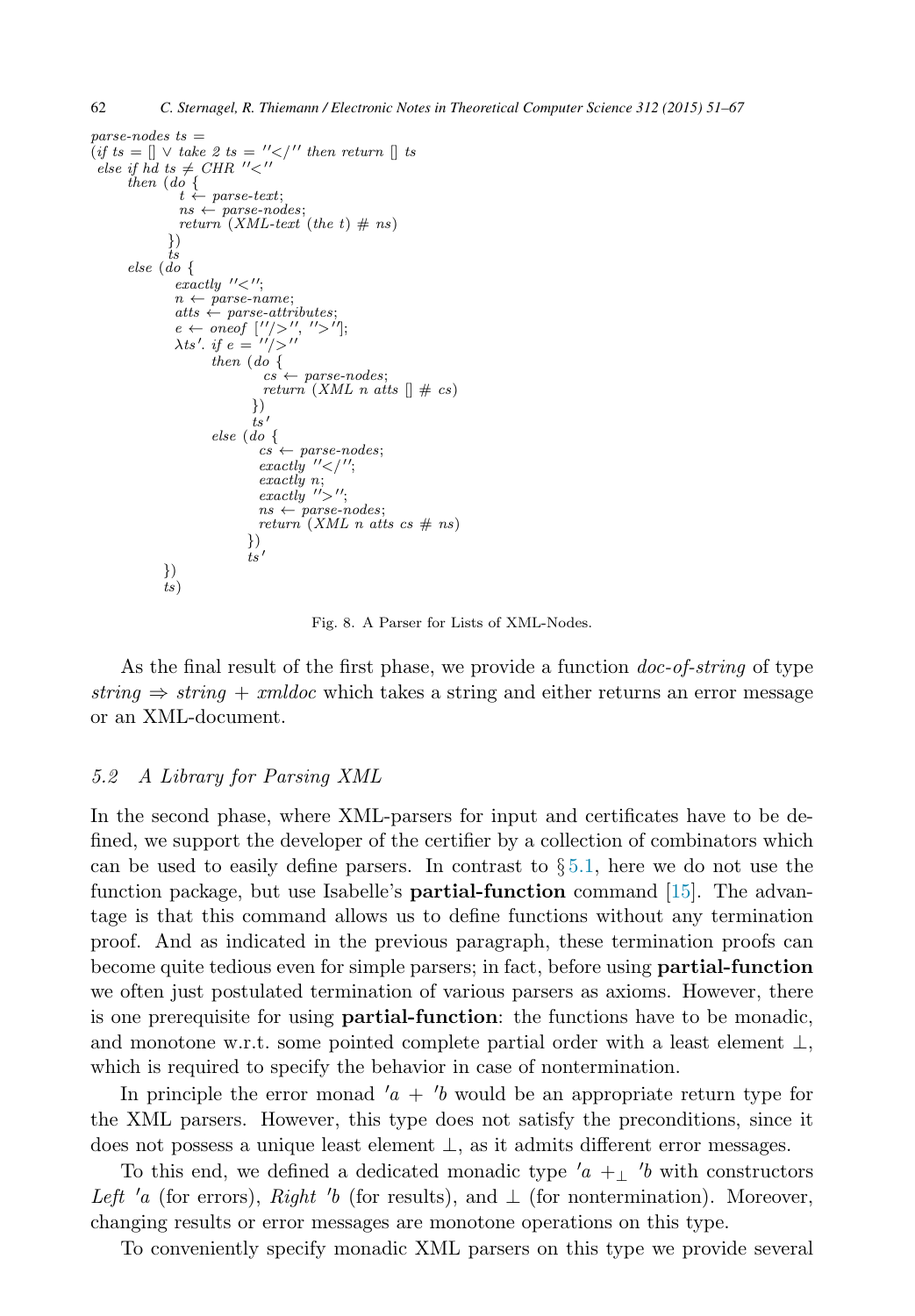```
parse-nodes ts =(if \; ts = [] \lor \; take \; 2 \; ts = '' < '' \; then \; return \; [] \; tselse if hd ts \neq CHR ^{\prime\prime} < ^{\prime\prime}then (d_0 \nmid \n\leftarrow parse-text;ns \leftarrow parse-nodes;return (XML-text)(the t) \# ns{}_{ts}^{\})else (do {
                    \emph{exactly} \emph{''}<\thinspace \thinspacen \leftarrow parse\text{-}name;atts \leftarrow parse-attributes;e ← oneof [-
-
/>-
-
, -
-
>-
-
];
                    \lambda t s'. if e = \frac{1}{2}then (do {
                                          cs \leftarrow parse-nodes;<br>return (XML n atts [] \# cs)
                                       })
                                       ts'else (do {\xleftarrow{cs \leftarrow parse-nodes}};\emph{exactly} \emph{''<}/\emph{''};<br>exactly n;
                                         \emph{exactly} \emph{''}>"
                                        ns \leftarrow parse-nodes;return (XML n atts cs \# ns)
                                     })
                                      ts'})
                 t_{\rm s}
```
Fig. 8. A Parser for Lists of XML-Nodes.

As the final result of the first phase, we provide a function  $doc-of-string$  of type string  $\Rightarrow$  string + xmldoc which takes a string and either returns an error message or an XML-document.

### 5.2 A Library for Parsing XML

In the second phase, where XML-parsers for input and certificates have to be defined, we support the developer of the certifier by a collection of combinators which can be used to easily define parsers. In contrast to  $\S 5.1$ , here we do not use the function package, but use Isabelle's **partial-function** command [\[15\]](#page-16-0). The advantage is that this command allows us to define functions without any termination proof. And as indicated in the previous paragraph, these termination proofs can become quite tedious even for simple parsers; in fact, before using **partial-function** we often just postulated termination of various parsers as axioms. However, there is one prerequisite for using **partial-function**: the functions have to be monadic, and monotone w.r.t. some pointed complete partial order with a least element  $\perp$ , which is required to specify the behavior in case of nontermination.

In principle the error monad  $a + b$  would be an appropriate return type for the XML parsers. However, this type does not satisfy the preconditions, since it does not possess a unique least element ⊥, as it admits different error messages.

To this end, we defined a dedicated monadic type  $'a +<sub>⊥</sub> b$  with constructors Left 'a (for errors), Right 'b (for results), and  $\perp$  (for nontermination). Moreover, changing results or error messages are monotone operations on this type.

To conveniently specify monadic XML parsers on this type we provide several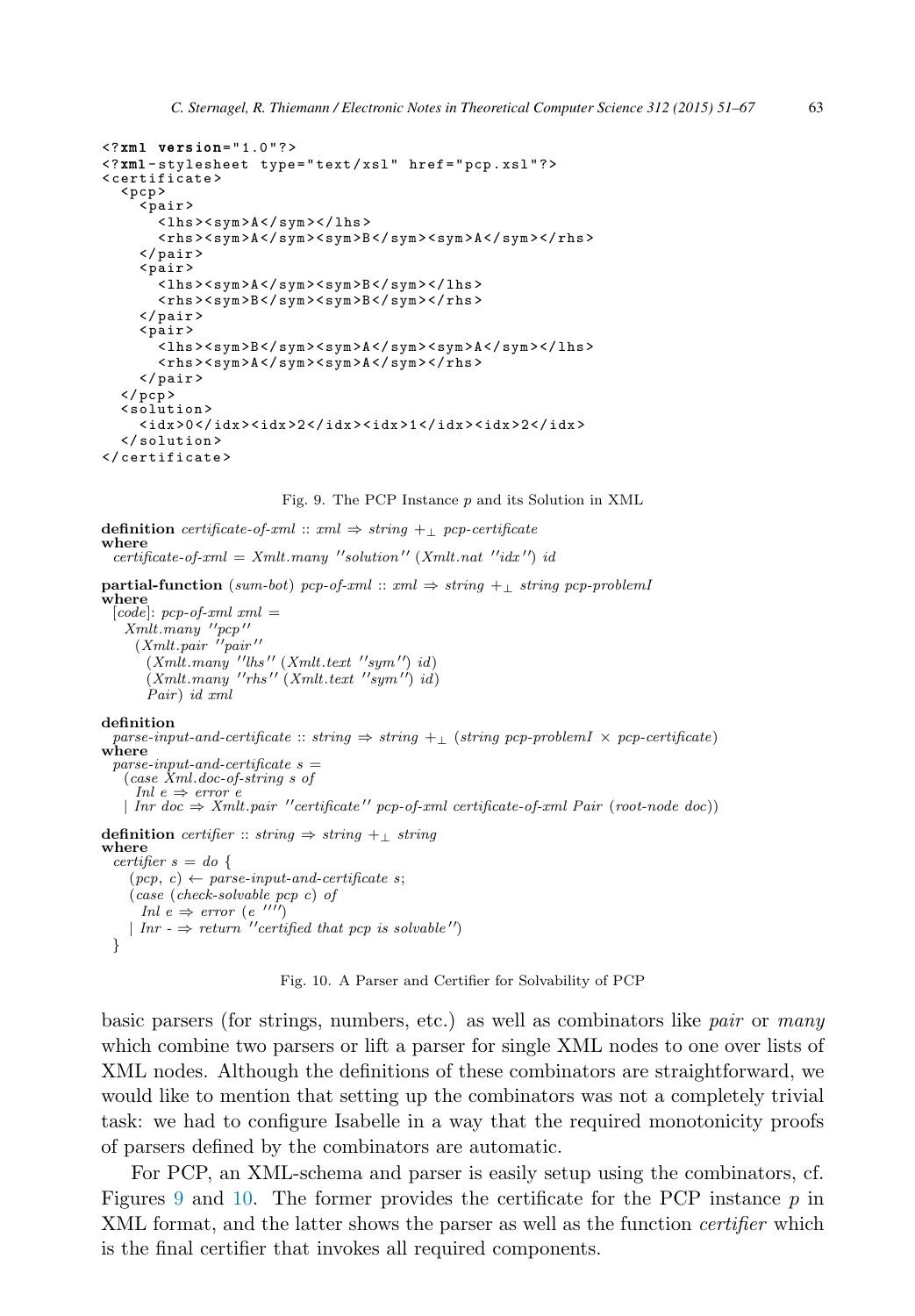```
\leq ? xml version="1.0"?>
<?xml-stylesheet type="text/xsl" href="pcp.xsl"?>
<certificate>
  <pcp>
<pair>
       <lhs><sym>A</sym></lhs>
       <rhs><sym>A</sym><sym><sym><sym><sym>A</sym></rhs>
     </pair>
     <pair>
       <lhs><sym>A</sym><sym>B</sym></lhs>
       <rhs><sym>B</sym><sym>B</sym></rhs>
     </pair>
     <sub>pair</sub></sub>
       <lhs><sym>B</sym><sym>A</sym><sym></lhs>
       <rhs><sym>A</sym><sym>A</sym></rhs>
    </pair>
  \langle/pcp\rangle<solution>
    \langle i\frac{dx}{\partial x} \rangle /\frac{dx}{\partial x} /\frac{dx}{\partial x} /\frac{dx}{\partial x} /\frac{dx}{\partial x}</solution>
</certificate>
```
Fig. 9. The PCP Instance p and its Solution in XML

**definition** certificate-of-xml :: xml  $\Rightarrow$  string +  $\cdot$  pcp-certificate **where**  $certificate-of.xml = Xmlt.many "solution" (Xmlt.nat "idx") id$ 

**partial-function** (sum-bot) pcp-of-xml :: xml  $\Rightarrow$  string +<sub>⊥</sub> string pcp-problemI **where**  $[code]$ : pcp-of-xml xml =  $Xmlt.maxy$  "pcp"  $(Xmlt. pair 'r pair'')$  $(Xmlt.max 'lhs' (Xmlt.text ''sym') id)$  $(Xmlt.max "rhs" (Xmlt.text "sym") id)$ Pair) id xml **definition**

parse-input-and-certificate :: string  $\Rightarrow$  string  $+_1$  (string pcp-problemI  $\times$  pcp-certificate) **where**<br>*parse-input-and-certificate s =* 

```
\begin{array}{r}\n \text{(case } \tilde{X}ml.doc-of-string s \text{ of} \\
 \text{Inl } e \Rightarrow \text{error } e\n \end{array}\sum_{i} Int doc ⇒ Error e<br>| Inr doc ⇒ Xmlt.pair ''certificate'' pcp-of-xml certificate-of-xml Pair (root-node doc))
definition certifier :: string \Rightarrow string +_{\perp} string
where
   certifier s = do \{(pcp, c) \leftarrow parse-input-and-centificance;(case (check-solvable pcp c) of
          \text{Inl } e \Rightarrow \text{error } (e \text{ } \text{'''})| Inr - \Rightarrow return "certified that pcp is solvable"
   }
```
Fig. 10. A Parser and Certifier for Solvability of PCP

basic parsers (for strings, numbers, etc.) as well as combinators like pair or many which combine two parsers or lift a parser for single XML nodes to one over lists of XML nodes. Although the definitions of these combinators are straightforward, we would like to mention that setting up the combinators was not a completely trivial task: we had to configure Isabelle in a way that the required monotonicity proofs of parsers defined by the combinators are automatic.

For PCP, an XML-schema and parser is easily setup using the combinators, cf. Figures 9 and 10. The former provides the certificate for the PCP instance  $p$  in XML format, and the latter shows the parser as well as the function *certifier* which is the final certifier that invokes all required components.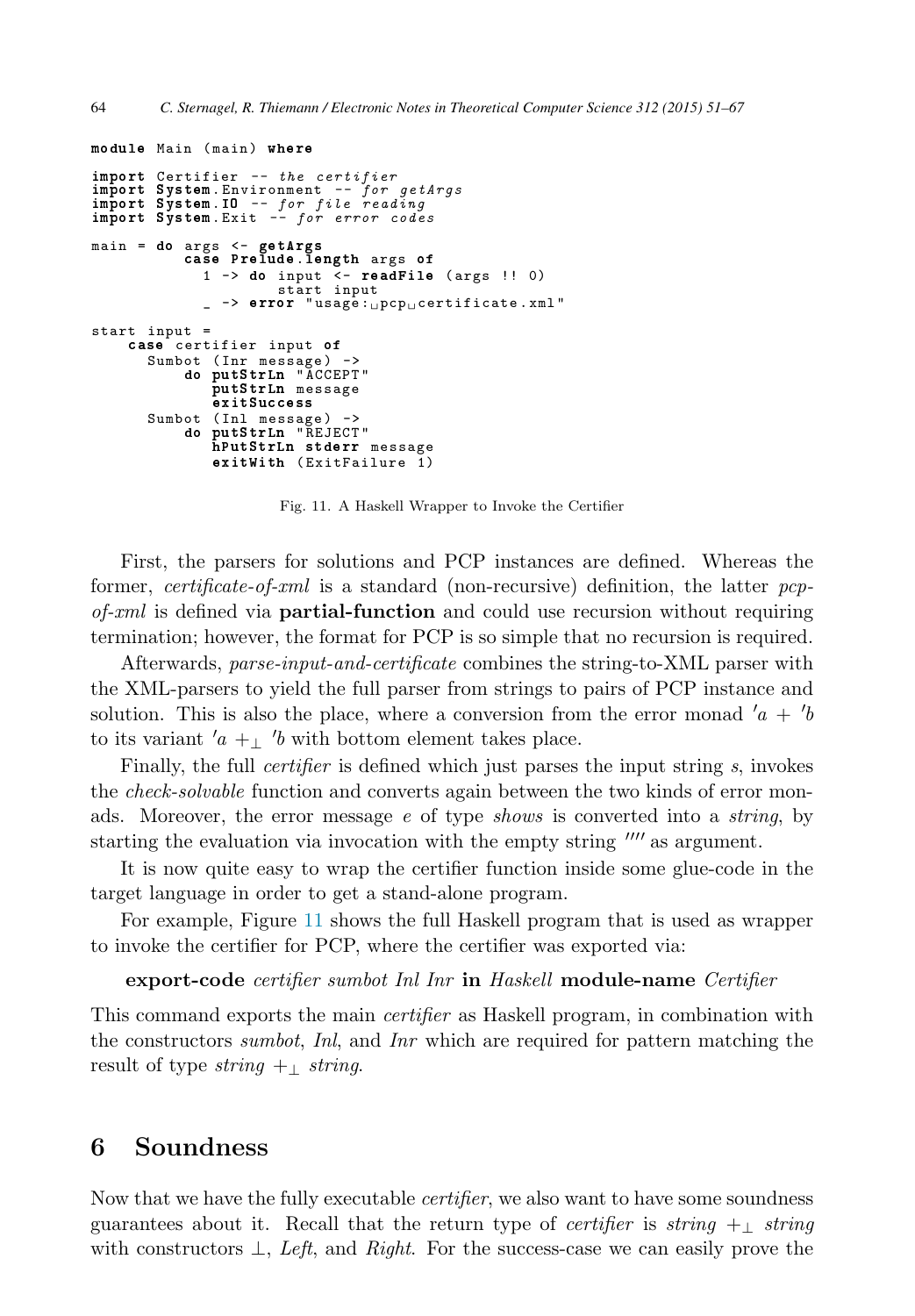```
mo<mark>dule</mark> Main (main) <mark>where</mark>
import Certifier -- the certifier
import System.Environment -- for getArgs<br>import System.IO -- for file reading<br>import System.Exit -- for error codes
main = do args <- getArgs<br>case Prelude.length args of
                 1 -> do input <- readFile (args !! 0)
                           start input
                 _ -> error "usage:<sub>⊔</sub>pcp<sub>⊔</sub>certificate.xml"
start input =<br>case certifier input of
       Sumbot (Inr message) ->
              do putStrLn "ACCEPT"
                 putStrLn message
                  exitSuccess
       Sumbot (Inl message) ->
              do putStrLn "REJECT"
                 hPutStrLn stderr message


 (ExitFailure 1)
```
Fig. 11. A Haskell Wrapper to Invoke the Certifier

First, the parsers for solutions and PCP instances are defined. Whereas the former, *certificate-of-xml* is a standard (non-recursive) definition, the latter  $pcp$ of-xml is defined via **partial-function** and could use recursion without requiring termination; however, the format for PCP is so simple that no recursion is required.

Afterwards, parse-input-and-certificate combines the string-to-XML parser with the XML-parsers to yield the full parser from strings to pairs of PCP instance and solution. This is also the place, where a conversion from the error monad  $a + b$ to its variant  $'a +_1 b$  with bottom element takes place.

Finally, the full certifier is defined which just parses the input string s, invokes the check-solvable function and converts again between the two kinds of error monads. Moreover, the error message e of type shows is converted into a string, by starting the evaluation via invocation with the empty string  $^{\prime\prime\prime\prime}$  as argument.

It is now quite easy to wrap the certifier function inside some glue-code in the target language in order to get a stand-alone program.

For example, Figure 11 shows the full Haskell program that is used as wrapper to invoke the certifier for PCP, where the certifier was exported via:

#### **export-code** certifier sumbot Inl Inr **in** Haskell **module-name** Certifier

This command exports the main certifier as Haskell program, in combination with the constructors sumbot, Inl, and Inr which are required for pattern matching the result of type string  $+$  string.

### **6 Soundness**

Now that we have the fully executable *certifier*, we also want to have some soundness guarantees about it. Recall that the return type of *certifier* is string  $+$  string with constructors  $\perp$ , Left, and Right. For the success-case we can easily prove the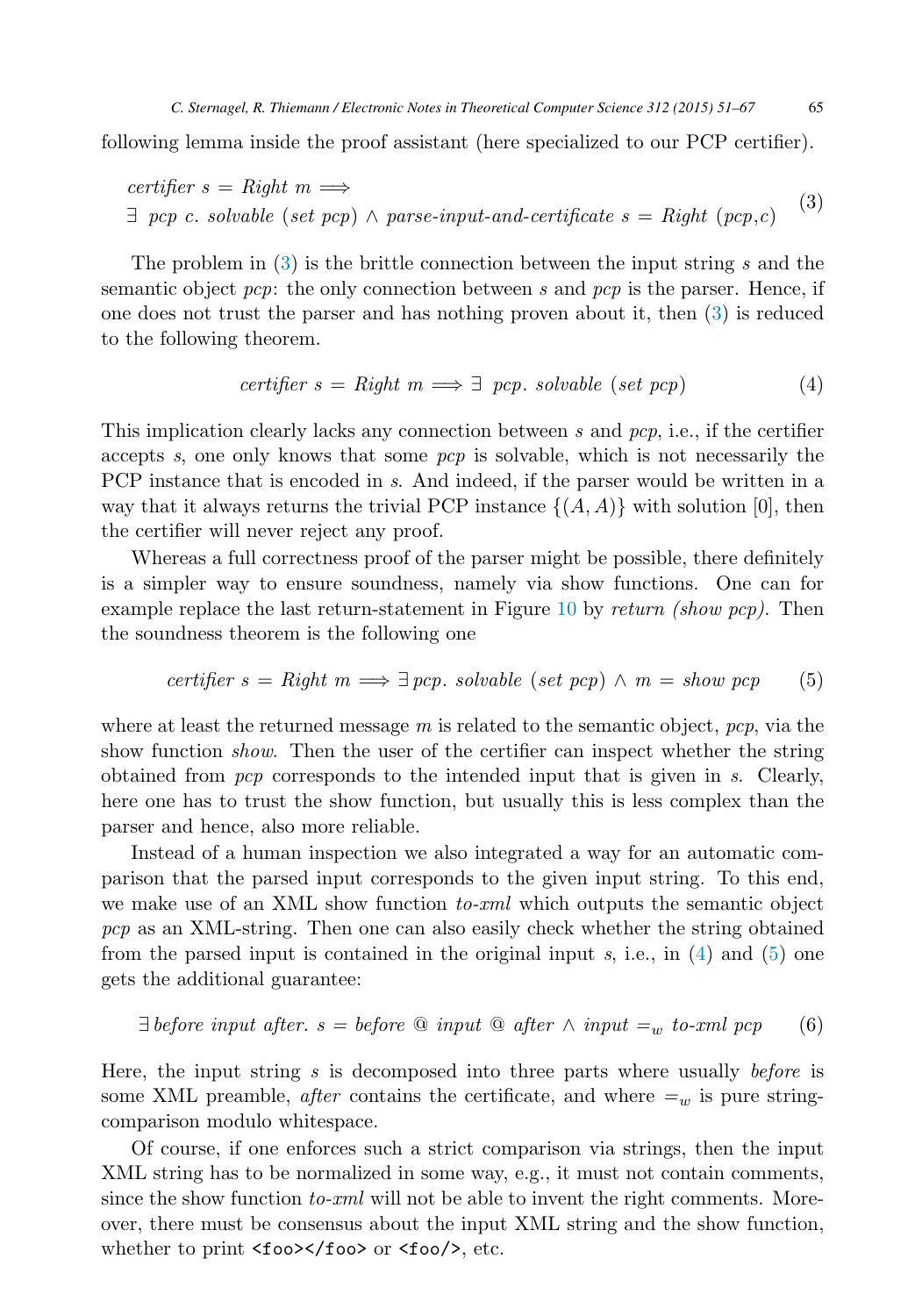<span id="page-14-0"></span>following lemma inside the proof assistant (here specialized to our PCP certifier).

$$
certifier s = Right m \Longrightarrow
$$
  

$$
\exists \text{ pop } c. \text{ solvable } (set \text{ pop}) \land parse-input-and-centificate s = Right (pcp, c)
$$
 (3)

The problem in  $(3)$  is the brittle connection between the input string s and the semantic object  $pcp$ : the only connection between s and  $pcp$  is the parser. Hence, if one does not trust the parser and has nothing proven about it, then (3) is reduced to the following theorem.

$$
certifier s = Right m \Longrightarrow \exists \text{ } pcp. \text{ solvable } (set \text{ } pcp)
$$
 (4)

This implication clearly lacks any connection between s and  $pcp$ , i.e., if the certifier accepts s, one only knows that some pcp is solvable, which is not necessarily the PCP instance that is encoded in s. And indeed, if the parser would be written in a way that it always returns the trivial PCP instance  $\{(A, A)\}\$  with solution [0], then the certifier will never reject any proof.

Whereas a full correctness proof of the parser might be possible, there definitely is a simpler way to ensure soundness, namely via show functions. One can for example replace the last return-statement in Figure [10](#page-12-0) by return (show pcp). Then the soundness theorem is the following one

$$
certifier s = Right m \Longrightarrow \exists \, pep. \, solvable \, (set \, pep) \land m = show \, pep \qquad (5)
$$

where at least the returned message  $m$  is related to the semantic object,  $pcp$ , via the show function *show*. Then the user of the certifier can inspect whether the string obtained from pcp corresponds to the intended input that is given in s. Clearly, here one has to trust the show function, but usually this is less complex than the parser and hence, also more reliable.

Instead of a human inspection we also integrated a way for an automatic comparison that the parsed input corresponds to the given input string. To this end, we make use of an XML show function  $to$ -xml which outputs the semantic object pcp as an XML-string. Then one can also easily check whether the string obtained from the parsed input is contained in the original input  $s$ , i.e., in  $(4)$  and  $(5)$  one gets the additional guarantee:

$$
\exists \text{ before input after. } s = \text{before } @ \text{ input } @ \text{ after } \land \text{ input } =_{w} \text{ to } \text{-}xml \text{ pcp} \qquad (6)
$$

Here, the input string s is decomposed into three parts where usually before is some XML preamble, *after* contains the certificate, and where  $=_w$  is pure stringcomparison modulo whitespace.

Of course, if one enforces such a strict comparison via strings, then the input XML string has to be normalized in some way, e.g., it must not contain comments, since the show function  $to$ -xml will not be able to invent the right comments. Moreover, there must be consensus about the input XML string and the show function, whether to print <foo></foo> or <foo/>, etc.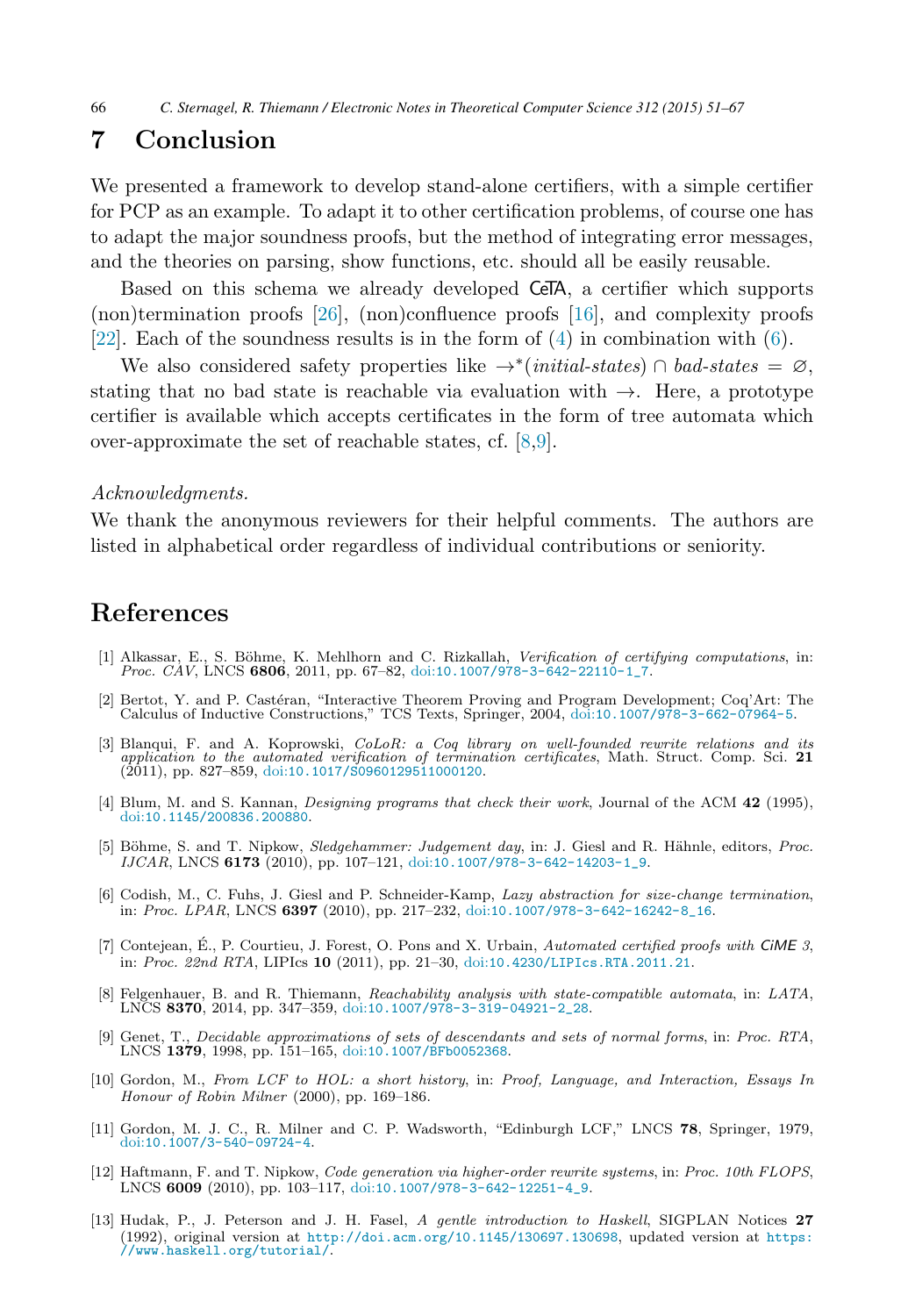<span id="page-15-0"></span>66 *C. Sternagel, R. Thiemann / Electronic Notes in Theoretical Computer Science 312 (2015) 51–67*

### **7 Conclusion**

We presented a framework to develop stand-alone certifiers, with a simple certifier for PCP as an example. To adapt it to other certification problems, of course one has to adapt the major soundness proofs, but the method of integrating error messages, and the theories on parsing, show functions, etc. should all be easily reusable.

Based on this schema we already developed CeTA, a certifier which supports (non)termination proofs [\[26\]](#page-16-0), (non)confluence proofs [\[16\]](#page-16-0), and complexity proofs [\[22\]](#page-16-0). Each of the soundness results is in the form of  $(4)$  in combination with  $(6)$ .

We also considered safety properties like  $\rightarrow^*(initial-states) \cap bad-states = \varnothing$ . stating that no bad state is reachable via evaluation with  $\rightarrow$ . Here, a prototype certifier is available which accepts certificates in the form of tree automata which over-approximate the set of reachable states, cf. [8,9].

#### Acknowledgments.

We thank the anonymous reviewers for their helpful comments. The authors are listed in alphabetical order regardless of individual contributions or seniority.

### **References**

- [1] Alkassar, E., S. Böhme, K. Mehlhorn and C. Rizkallah, Verification of certifying computations, in: Proc. CAV, LNCS **6806**, 2011, pp. 67–82, doi:[10.1007/978-3-642-22110-1\\_7](http://dx.doi.org/10.1007/978-3-642-22110-1_7).
- [2] Bertot, Y. and P. Castéran, "Interactive Theorem Proving and Program Development; Coq'Art: The Calculus of Inductive Constructions," TCS Texts, Springer, 2004, doi:[10.1007/978-3-662-07964-5](http://dx.doi.org/10.1007/978-3-662-07964-5).
- [3] Blanqui, F. and A. Koprowski, CoLoR: a Coq library on well-founded rewrite relations and its application to the automated verification of termination certificates, Math. Struct. Comp. Sci. **21**  $(2011)$ , pp. 827–859, doi:[10.1017/S0960129511000120](http://dx.doi.org/10.1017/S0960129511000120).
- [4] Blum, M. and S. Kannan, Designing programs that check their work, Journal of the ACM **42** (1995), doi:[10.1145/200836.200880](http://dx.doi.org/10.1145/200836.200880).
- [5] Böhme, S. and T. Nipkow, Sledgehammer: Judgement day, in: J. Giesl and R. Hähnle, editors, Proc. IJCAR, LNCS **6173** (2010), pp. 107–121, doi:[10.1007/978-3-642-14203-1\\_9](http://dx.doi.org/10.1007/978-3-642-14203-1_9).
- [6] Codish, M., C. Fuhs, J. Giesl and P. Schneider-Kamp, Lazy abstraction for size-change termination, in: Proc. LPAR, LNCS **6397** (2010), pp. 217–232, doi:[10.1007/978-3-642-16242-8\\_16](http://dx.doi.org/10.1007/978-3-642-16242-8_16).
- [7] Contejean, É., P. Courtieu, J. Forest, O. Pons and X. Urbain, Automated certified proofs with CIME 3, in: Proc. 22nd RTA, LIPIcs **10** (2011), pp. 21–30, doi:[10.4230/LIPIcs.RTA.2011.21](http://dx.doi.org/10.4230/LIPIcs.RTA.2011.21).
- [8] Felgenhauer, B. and R. Thiemann, Reachability analysis with state-compatible automata, in: LATA, LNCS **<sup>8370</sup>**, 2014, pp. 347–359, doi:[10.1007/978-3-319-04921-2\\_28](http://dx.doi.org/10.1007/978-3-319-04921-2_28).
- [9] Genet, T., Decidable approximations of sets of descendants and sets of normal forms, in: Proc. RTA, LNCS **<sup>1379</sup>**, 1998, pp. 151–165, doi:[10.1007/BFb0052368](http://dx.doi.org/10.1007/BFb0052368).
- [10] Gordon, M., From LCF to HOL: a short history, in: Proof, Language, and Interaction, Essays In Honour of Robin Milner (2000), pp. 169–186.
- [11] Gordon, M. J. C., R. Milner and C. P. Wadsworth, "Edinburgh LCF," LNCS **78**, Springer, 1979, doi:[10.1007/3-540-09724-4](http://dx.doi.org/10.1007/3-540-09724-4).
- [12] Haftmann, F. and T. Nipkow, Code generation via higher-order rewrite systems, in: Proc. 10th FLOPS, LNCS **6009** (2010), pp. 103–117, doi:[10.1007/978-3-642-12251-4\\_9](http://dx.doi.org/10.1007/978-3-642-12251-4_9).
- [13] Hudak, P., J. Peterson and J. H. Fasel, A gentle introduction to Haskell, SIGPLAN Notices **27** (1992), original version at <http://doi.acm.org/10.1145/130697.130698>, updated version at [https:](https://www.haskell.org/tutorial/) [//www.haskell.org/tutorial/](https://www.haskell.org/tutorial/).